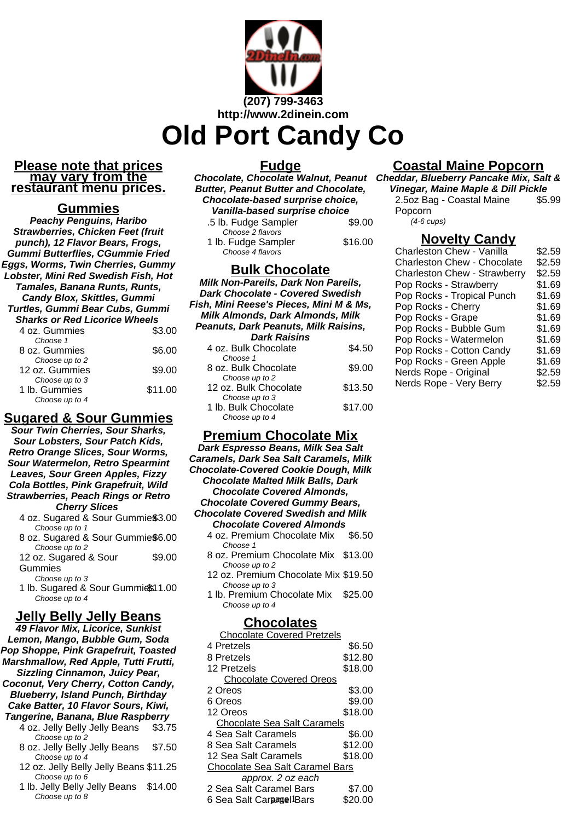

#### **Please note that prices may vary from the restaurant menu prices.**

### **Gummies**

**Peachy Penguins, Haribo Strawberries, Chicken Feet (fruit punch), 12 Flavor Bears, Frogs, Gummi Butterflies, CGummie Fried Eggs, Worms, Twin Cherries, Gummy Lobster, Mini Red Swedish Fish, Hot Tamales, Banana Runts, Runts, Candy Blox, Skittles, Gummi Turtles, Gummi Bear Cubs, Gummi Sharks or Red Licorice Wheels**

| 4 oz. Gummies                                     | \$3.00  |
|---------------------------------------------------|---------|
| Choose 1<br>8 oz. Gummies                         | \$6.00  |
| Choose up to 2<br>12 oz. Gummies                  | \$9.00  |
| Choose up to 3<br>1 lb. Gummies<br>Choose up to 4 | \$11.00 |
|                                                   |         |

# **Sugared & Sour Gummies**

**Sour Twin Cherries, Sour Sharks, Sour Lobsters, Sour Patch Kids, Retro Orange Slices, Sour Worms, Sour Watermelon, Retro Spearmint Leaves, Sour Green Apples, Fizzy Cola Bottles, Pink Grapefruit, Wild Strawberries, Peach Rings or Retro Cherry Slices** 4 oz. Sugared & Sour Gummies\$3.00

- Choose up to 1 8 oz. Sugared & Sour Gummie\$6.00
- Choose up to 2 12 oz. Sugared & Sour Gummies \$9.00

Choose up to 3

1 lb. Sugared & Sour Gummies 1.00 Choose up to 4

### **Jelly Belly Jelly Beans**

**49 Flavor Mix, Licorice, Sunkist Lemon, Mango, Bubble Gum, Soda Pop Shoppe, Pink Grapefruit, Toasted Marshmallow, Red Apple, Tutti Frutti, Sizzling Cinnamon, Juicy Pear, Coconut, Very Cherry, Cotton Candy, Blueberry, Island Punch, Birthday Cake Batter, 10 Flavor Sours, Kiwi, Tangerine, Banana, Blue Raspberry** 4 oz. Jelly Belly Jelly Beans \$3.75 Choose up to 2 8 oz. Jelly Belly Jelly Beans \$7.50 Choose up to 4 12 oz. Jelly Belly Jelly Beans \$11.25 Choose up to 6 1 lb. Jelly Belly Jelly Beans \$14.00 Choose up to 8

### **Fudge**

**Chocolate, Chocolate Walnut, Peanut Cheddar, Blueberry Pancake Mix, Salt & Butter, Peanut Butter and Chocolate, Chocolate-based surprise choice, Vanilla-based surprise choice** .5 lb. Fudge Sampler \$9.00 Choose 2 flavors 1 lb. Fudge Sampler \$16.00 Choose 4 flavors

### **Bulk Chocolate**

**Milk Non-Pareils, Dark Non Pareils, Dark Chocolate - Covered Swedish Fish, Mini Reese's Pieces, Mini M & Ms, Milk Almonds, Dark Almonds, Milk Peanuts, Dark Peanuts, Milk Raisins, Dark Raisins** 4 oz. Bulk Chocolate \$4.50 Choose 1 8 oz. Bulk Chocolate \$9.00 Choose up to 2 12 oz. Bulk Chocolate \$13.50 Choose up to 3 1 lb. Bulk Chocolate \$17.00 Choose up to 4

# **Premium Chocolate Mix**

**Dark Espresso Beans, Milk Sea Salt Caramels, Dark Sea Salt Caramels, Milk Chocolate-Covered Cookie Dough, Milk Chocolate Malted Milk Balls, Dark Chocolate Covered Almonds, Chocolate Covered Gummy Bears, Chocolate Covered Swedish and Milk Chocolate Covered Almonds** 4 oz. Premium Chocolate Mix \$6.50 Choose 1 8 oz. Premium Chocolate Mix \$13.00 Choose up to 2 12 oz. Premium Chocolate Mix \$19.50 Choose up to 3 1 lb. Premium Chocolate Mix \$25.00 Choose up to 4 **Chocolates** Chocolate Covered Pretzels 4 Pretzels  $$6.50$ 8 Pretzels \$12.80 12 Pretzels \$18.00 Chocolate Covered Oreos 2 Oreos \$3.00 6 Oreos \$9.00 12 Oreos \$18.00 Chocolate Sea Salt Caramels 4 Sea Salt Caramels \$6.00 8 Sea Salt Caramels \$12.00 12 Sea Salt Caramels \$18.00 Chocolate Sea Salt Caramel Bars approx. 2 oz each 2 Sea Salt Caramel Bars \$7.00 6 Sea Salt Carpagel<sup>1</sup>Bars \$20.00

# **Coastal Maine Popcorn**

**Vinegar, Maine Maple & Dill Pickle** 2.5oz Bag - Coastal Maine Popcorn \$5.99 (4-6 cups)

### **Novelty Candy**

| Charleston Chew - Vanilla    | \$2.59 |
|------------------------------|--------|
| Charleston Chew - Chocolate  | \$2.59 |
| Charleston Chew - Strawberry | \$2.59 |
| Pop Rocks - Strawberry       | \$1.69 |
| Pop Rocks - Tropical Punch   | \$1.69 |
| Pop Rocks - Cherry           | \$1.69 |
| Pop Rocks - Grape            | \$1.69 |
| Pop Rocks - Bubble Gum       | \$1.69 |
| Pop Rocks - Watermelon       | \$1.69 |
| Pop Rocks - Cotton Candy     | \$1.69 |
| Pop Rocks - Green Apple      | \$1.69 |
| Nerds Rope - Original        | \$2.59 |
| Nerds Rope - Very Berry      | \$2.59 |
|                              |        |